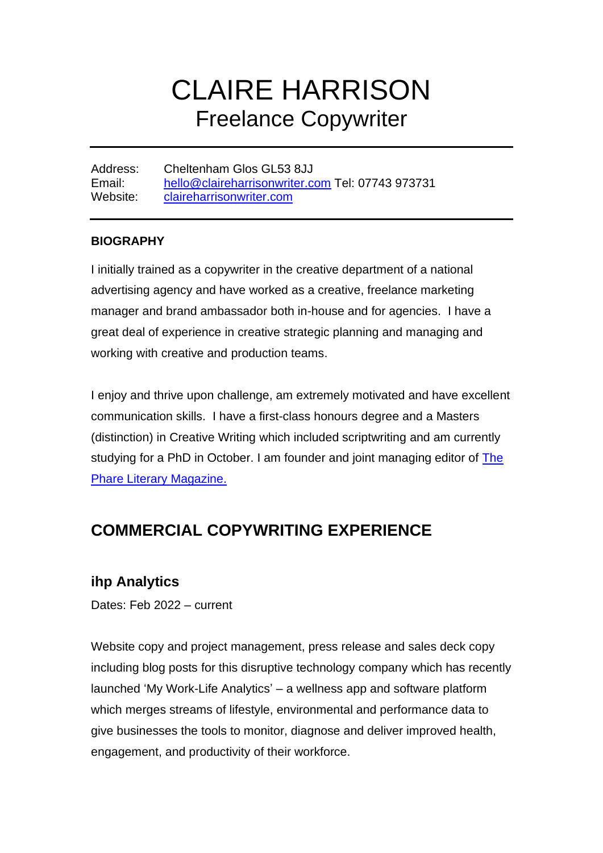# CLAIRE HARRISON Freelance Copywriter

Address: Cheltenham Glos GL53 8JJ Email: [hello@claireharrisonwriter.com](mailto:hello@claireharrisonwriter.com) Tel: 07743 973731 Website: [claireharrisonwriter.com](http://www.claireharrisonwriter.com/)

#### **BIOGRAPHY**

I initially trained as a copywriter in the creative department of a national advertising agency and have worked as a creative, freelance marketing manager and brand ambassador both in-house and for agencies. I have a great deal of experience in creative strategic planning and managing and working with creative and production teams.

I enjoy and thrive upon challenge, am extremely motivated and have excellent communication skills. I have a first-class honours degree and a Masters (distinction) in Creative Writing which included scriptwriting and am currently studying for a PhD in October. I am founder and joint managing editor of The [Phare Literary Magazine.](https://www.thephare.com/)

### **COMMERCIAL COPYWRITING EXPERIENCE**

### **ihp Analytics**

Dates: Feb 2022 – current

Website copy and project management, press release and sales deck copy including blog posts for this disruptive technology company which has recently launched 'My Work-Life Analytics' – a wellness app and software platform which merges streams of lifestyle, environmental and performance data to give businesses the tools to monitor, diagnose and deliver improved health, engagement, and productivity of their workforce.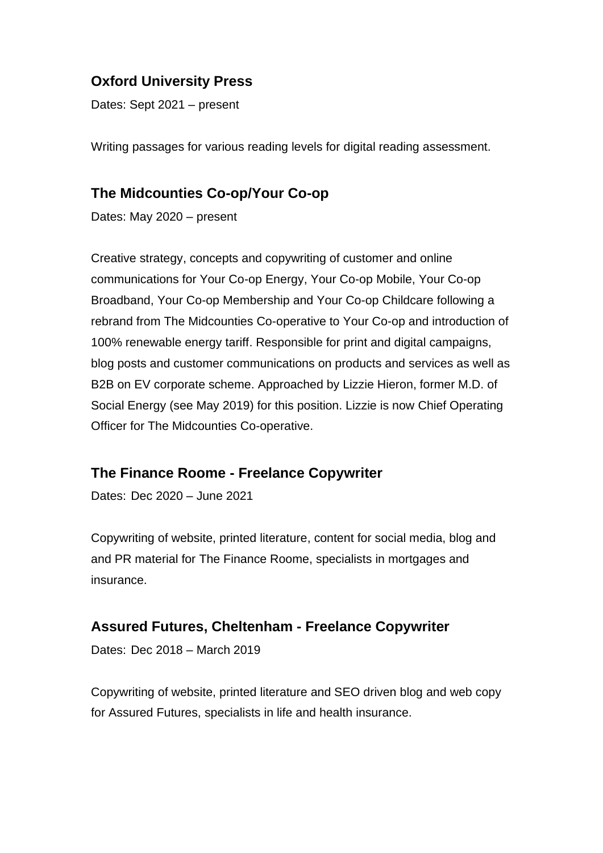### **Oxford University Press**

Dates: Sept 2021 – present

Writing passages for various reading levels for digital reading assessment.

### **The Midcounties Co-op/Your Co-op**

Dates: May 2020 – present

Creative strategy, concepts and copywriting of customer and online communications for Your Co-op Energy, Your Co-op Mobile, Your Co-op Broadband, Your Co-op Membership and Your Co-op Childcare following a rebrand from The Midcounties Co-operative to Your Co-op and introduction of 100% renewable energy tariff. Responsible for print and digital campaigns, blog posts and customer communications on products and services as well as B2B on EV corporate scheme. Approached by Lizzie Hieron, former M.D. of Social Energy (see May 2019) for this position. Lizzie is now Chief Operating Officer for The Midcounties Co-operative.

#### **The Finance Roome - Freelance Copywriter**

Dates: Dec 2020 – June 2021

Copywriting of website, printed literature, content for social media, blog and and PR material for The Finance Roome, specialists in mortgages and insurance.

#### **Assured Futures, Cheltenham - Freelance Copywriter**

Dates: Dec 2018 – March 2019

Copywriting of website, printed literature and SEO driven blog and web copy for Assured Futures, specialists in life and health insurance.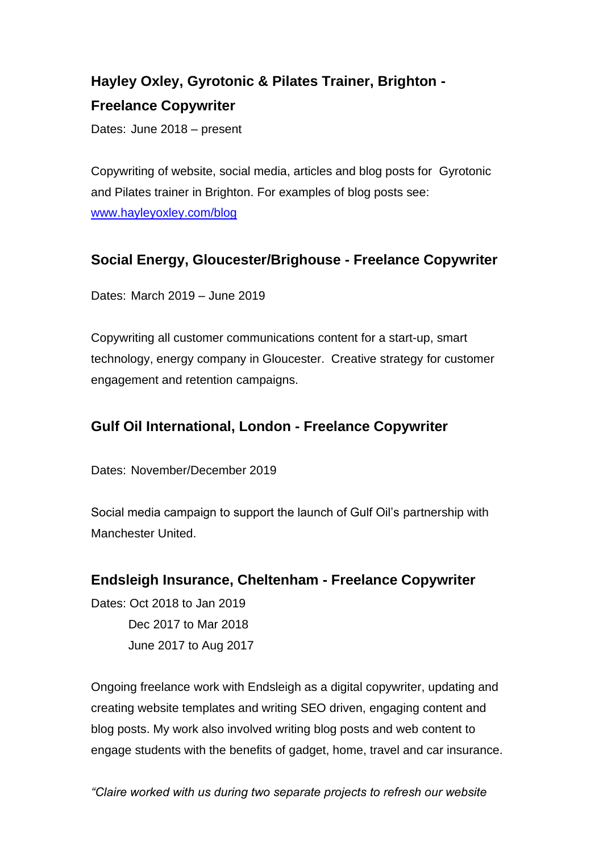# **Hayley Oxley, Gyrotonic & Pilates Trainer, Brighton - Freelance Copywriter**

Dates: June 2018 – present

Copywriting of website, social media, articles and blog posts for Gyrotonic and Pilates trainer in Brighton. For examples of blog posts see: [www.hayleyoxley.com/blog](http://www.hayleyoxley.com/blog)

### **Social Energy, Gloucester/Brighouse - Freelance Copywriter**

Dates: March 2019 – June 2019

Copywriting all customer communications content for a start-up, smart technology, energy company in Gloucester. Creative strategy for customer engagement and retention campaigns.

### **Gulf Oil International, London - Freelance Copywriter**

Dates: November/December 2019

Social media campaign to support the launch of Gulf Oil's partnership with Manchester United.

### **Endsleigh Insurance, Cheltenham - Freelance Copywriter**

Dates: Oct 2018 to Jan 2019 Dec 2017 to Mar 2018 June 2017 to Aug 2017

Ongoing freelance work with Endsleigh as a digital copywriter, updating and creating website templates and writing SEO driven, engaging content and blog posts. My work also involved writing blog posts and web content to engage students with the benefits of gadget, home, travel and car insurance.

*"Claire worked with us during two separate projects to refresh our website*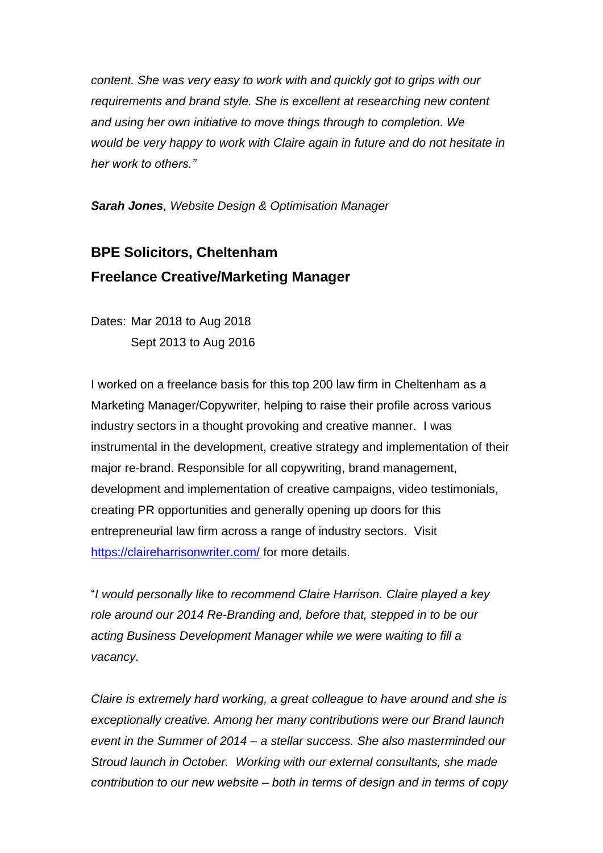*content. She was very easy to work with and quickly got to grips with our requirements and brand style. She is excellent at researching new content and using her own initiative to move things through to completion. We would be very happy to work with Claire again in future and do not hesitate in her work to others."*

*Sarah Jones, Website Design & Optimisation Manager*

### **BPE Solicitors, Cheltenham Freelance Creative/Marketing Manager**

Dates: Mar 2018 to Aug 2018 Sept 2013 to Aug 2016

I worked on a freelance basis for this top 200 law firm in Cheltenham as a Marketing Manager/Copywriter, helping to raise their profile across various industry sectors in a thought provoking and creative manner. I was instrumental in the development, creative strategy and implementation of their major re-brand. Responsible for all copywriting, brand management, development and implementation of creative campaigns, video testimonials, creating PR opportunities and generally opening up doors for this entrepreneurial law firm across a range of industry sectors. Visit <https://claireharrisonwriter.com/> for more details.

"*I would personally like to recommend Claire Harrison. Claire played a key role around our 2014 Re-Branding and, before that, stepped in to be our acting Business Development Manager while we were waiting to fill a vacancy.* 

*Claire is extremely hard working, a great colleague to have around and she is exceptionally creative. Among her many contributions were our Brand launch event in the Summer of 2014 – a stellar success. She also masterminded our Stroud launch in October. Working with our external consultants, she made contribution to our new website – both in terms of design and in terms of copy*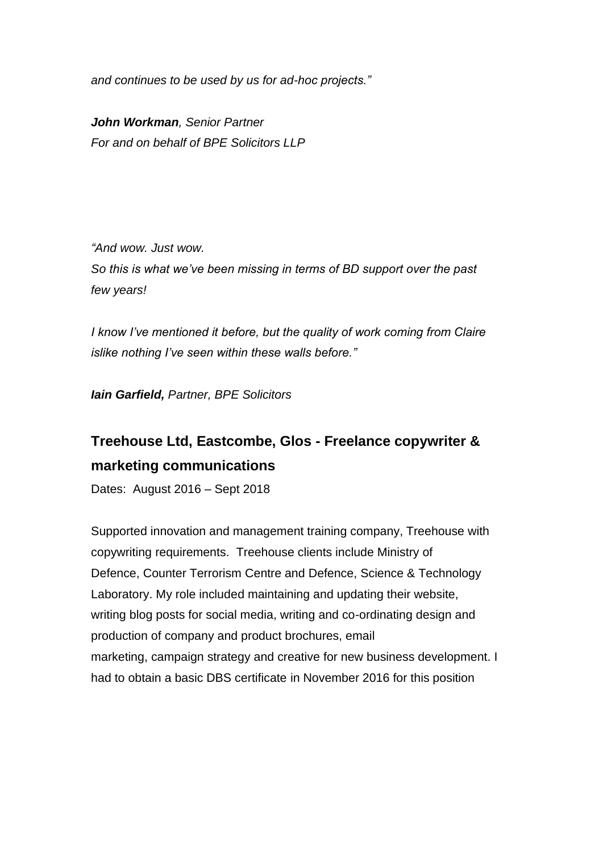*and continues to be used by us for ad-hoc projects."*

*John Workman, Senior Partner For and on behalf of BPE Solicitors LLP*

*"And wow. Just wow. So this is what we've been missing in terms of BD support over the past few years!*

*I know I've mentioned it before, but the quality of work coming from Claire islike nothing I've seen within these walls before."*

*Iain Garfield, Partner, BPE Solicitors*

### **Treehouse Ltd, Eastcombe, Glos - Freelance copywriter & marketing communications**

Dates:August 2016 – Sept 2018

Supported innovation and management training company, Treehouse with copywriting requirements. Treehouse clients include Ministry of Defence, Counter Terrorism Centre and Defence, Science & Technology Laboratory. My role included maintaining and updating their website, writing blog posts for social media, writing and co-ordinating design and production of company and product brochures, email marketing, campaign strategy and creative for new business development. I had to obtain a basic DBS certificate in November 2016 for this position